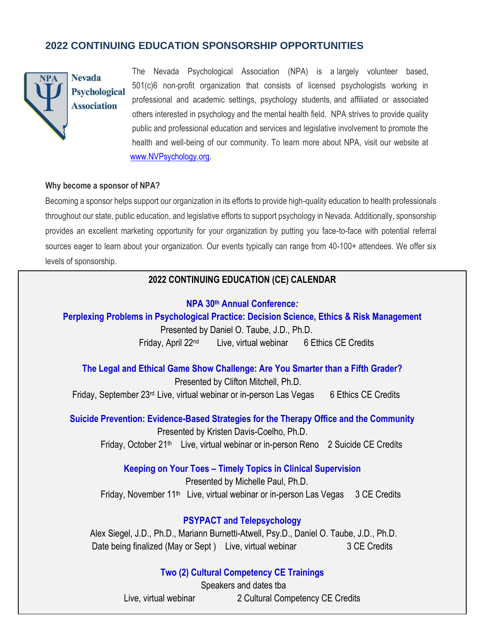# **2022 CONTINUING EDUCATION SPONSORSHIP OPPORTUNITIES**



# **Nevada Psychological Association**

The Nevada Psychological Association (NPA) is a largely volunteer based, 501(c)6 non-profit organization that consists of licensed psychologists working in professional and academic settings, psychology students, and affiliated or associated others interested in psychology and the mental health field. NPA strives to provide quality public and professional education and services and legislative involvement to promote the health and well-being of our community. To learn more about NPA, visit our website at [www.NVPsychology.org.](http://www.nvpsychology.org/)

#### **Why become a sponsor of NPA?**

Becoming a sponsor helps support our organization in its efforts to provide high-quality education to health professionals throughout our state, public education, and legislative efforts to support psychology in Nevada. Additionally, sponsorship provides an excellent marketing opportunity for your organization by putting you face-to-face with potential referral sources eager to learn about your organization. Our events typically can range from 40-100+ attendees. We offer six levels of sponsorship.

### **2022 CONTINUING EDUCATION (CE) CALENDAR**

#### **NPA 30th Annual Conference***:*

**Perplexing Problems in Psychological Practice: Decision Science, Ethics & Risk Management**

 Presented by Daniel O. Taube, J.D., Ph.D. Friday, April 22nd Live, virtual webinar 6 Ethics CE Credits

**The Legal and Ethical Game Show Challenge: Are You Smarter than a Fifth Grader?** Presented by Clifton Mitchell, Ph.D. Friday, September 23<sup>rd</sup> Live, virtual webinar or in-person Las Vegas 6 Ethics CE Credits

**Suicide Prevention: Evidence-Based Strategies for the Therapy Office and the Community** Presented by Kristen Davis-Coelho, Ph.D.

Friday, October 21<sup>th</sup> Live, virtual webinar or in-person Reno 2 Suicide CE Credits

**Keeping on Your Toes – Timely Topics in Clinical Supervision**

Presented by Michelle Paul, Ph.D. Friday, November 11<sup>th</sup> Live, virtual webinar or in-person Las Vegas 3 CE Credits

### **PSYPACT and Telepsychology**

Alex Siegel, J.D., Ph.D., Mariann Burnetti-Atwell, Psy.D., Daniel O. Taube, J.D., Ph.D. Date being finalized (May or Sept) Live, virtual webinar 3 CE Credits

### **Two (2) Cultural Competency CE Trainings**

Speakers and dates tba Live, virtual webinar 2 Cultural Competency CE Credits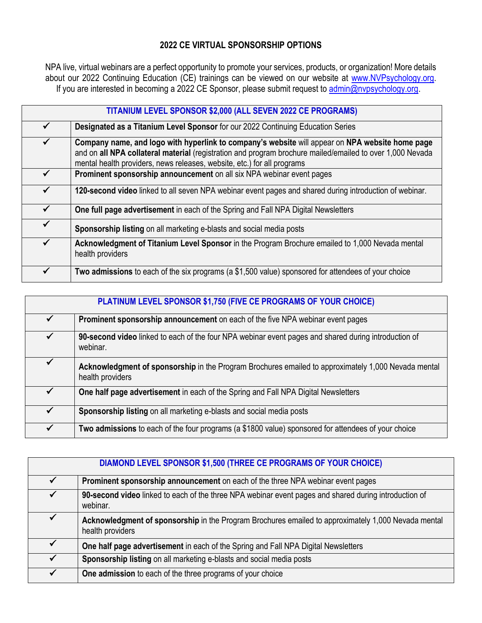## **2022 CE VIRTUAL SPONSORSHIP OPTIONS**

NPA live, virtual webinars are a perfect opportunity to promote your services, products, or organization! More details about our 2022 Continuing Education (CE) trainings can be viewed on our website at [www.NVPsychology.org.](http://www.nvpsychology.org/) If you are interested in becoming a 2022 CE Sponsor, please submit request to [admin@nvpsychology.org.](mailto:admin@nvpsychology.org)

| TITANIUM LEVEL SPONSOR \$2,000 (ALL SEVEN 2022 CE PROGRAMS) |                                                                                                                                                                                                                                                                                         |  |
|-------------------------------------------------------------|-----------------------------------------------------------------------------------------------------------------------------------------------------------------------------------------------------------------------------------------------------------------------------------------|--|
|                                                             | Designated as a Titanium Level Sponsor for our 2022 Continuing Education Series                                                                                                                                                                                                         |  |
| $\checkmark$                                                | Company name, and logo with hyperlink to company's website will appear on NPA website home page<br>and on all NPA collateral material (registration and program brochure mailed/emailed to over 1,000 Nevada<br>mental health providers, news releases, website, etc.) for all programs |  |
|                                                             | Prominent sponsorship announcement on all six NPA webinar event pages                                                                                                                                                                                                                   |  |
| $\checkmark$                                                | 120-second video linked to all seven NPA webinar event pages and shared during introduction of webinar.                                                                                                                                                                                 |  |
| ✓                                                           | One full page advertisement in each of the Spring and Fall NPA Digital Newsletters                                                                                                                                                                                                      |  |
| $\checkmark$                                                | Sponsorship listing on all marketing e-blasts and social media posts                                                                                                                                                                                                                    |  |
| $\checkmark$                                                | Acknowledgment of Titanium Level Sponsor in the Program Brochure emailed to 1,000 Nevada mental<br>health providers                                                                                                                                                                     |  |
| $\checkmark$                                                | Two admissions to each of the six programs (a \$1,500 value) sponsored for attendees of your choice                                                                                                                                                                                     |  |

| PLATINUM LEVEL SPONSOR \$1,750 (FIVE CE PROGRAMS OF YOUR CHOICE) |                                                                                                                         |  |
|------------------------------------------------------------------|-------------------------------------------------------------------------------------------------------------------------|--|
| ✓                                                                | Prominent sponsorship announcement on each of the five NPA webinar event pages                                          |  |
| $\checkmark$                                                     | 90-second video linked to each of the four NPA webinar event pages and shared during introduction of<br>webinar.        |  |
| ✓                                                                | Acknowledgment of sponsorship in the Program Brochures emailed to approximately 1,000 Nevada mental<br>health providers |  |
|                                                                  | One half page advertisement in each of the Spring and Fall NPA Digital Newsletters                                      |  |
| $\checkmark$                                                     | Sponsorship listing on all marketing e-blasts and social media posts                                                    |  |
|                                                                  | Two admissions to each of the four programs (a \$1800 value) sponsored for attendees of your choice                     |  |

| DIAMOND LEVEL SPONSOR \$1,500 (THREE CE PROGRAMS OF YOUR CHOICE) |                                                                                                                         |  |
|------------------------------------------------------------------|-------------------------------------------------------------------------------------------------------------------------|--|
|                                                                  | Prominent sponsorship announcement on each of the three NPA webinar event pages                                         |  |
|                                                                  | 90-second video linked to each of the three NPA webinar event pages and shared during introduction of<br>webinar.       |  |
| ✔                                                                | Acknowledgment of sponsorship in the Program Brochures emailed to approximately 1,000 Nevada mental<br>health providers |  |
|                                                                  | One half page advertisement in each of the Spring and Fall NPA Digital Newsletters                                      |  |
| ✓                                                                | Sponsorship listing on all marketing e-blasts and social media posts                                                    |  |
|                                                                  | One admission to each of the three programs of your choice                                                              |  |